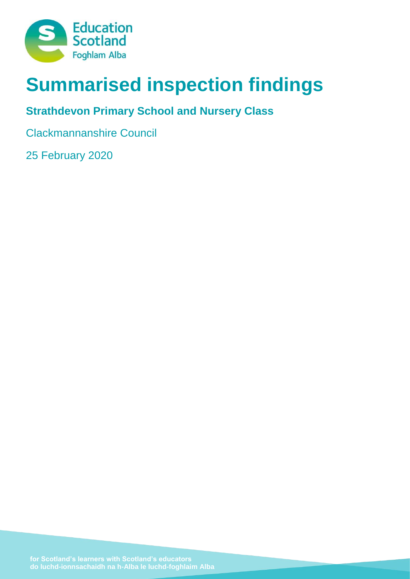

# **Summarised inspection findings**

## **Strathdevon Primary School and Nursery Class**

Clackmannanshire Council

25 February 2020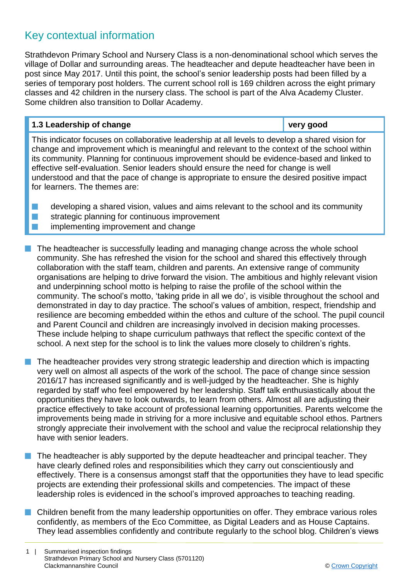## Key contextual information

Strathdevon Primary School and Nursery Class is a non-denominational school which serves the village of Dollar and surrounding areas. The headteacher and depute headteacher have been in post since May 2017. Until this point, the school's senior leadership posts had been filled by a series of temporary post holders. The current school roll is 169 children across the eight primary classes and 42 children in the nursery class. The school is part of the Alva Academy Cluster. Some children also transition to Dollar Academy.

#### **1.3 Leadership of change very good**

This indicator focuses on collaborative leadership at all levels to develop a shared vision for change and improvement which is meaningful and relevant to the context of the school within its community. Planning for continuous improvement should be evidence-based and linked to effective self-evaluation. Senior leaders should ensure the need for change is well understood and that the pace of change is appropriate to ensure the desired positive impact for learners. The themes are:

 $\blacksquare$  developing a shared vision, values and aims relevant to the school and its community  $\blacksquare$  strategic planning for continuous improvement **n** implementing improvement and change

 $\blacksquare$  The headteacher is successfully leading and managing change across the whole school community. She has refreshed the vision for the school and shared this effectively through collaboration with the staff team, children and parents. An extensive range of community organisations are helping to drive forward the vision. The ambitious and highly relevant vision and underpinning school motto is helping to raise the profile of the school within the community. The school's motto, 'taking pride in all we do', is visible throughout the school and demonstrated in day to day practice. The school's values of ambition, respect, friendship and resilience are becoming embedded within the ethos and culture of the school. The pupil council and Parent Council and children are increasingly involved in decision making processes. These include helping to shape curriculum pathways that reflect the specific context of the school. A next step for the school is to link the values more closely to children's rights.

 $\blacksquare$  The headteacher provides very strong strategic leadership and direction which is impacting very well on almost all aspects of the work of the school. The pace of change since session 2016/17 has increased significantly and is well-judged by the headteacher. She is highly regarded by staff who feel empowered by her leadership. Staff talk enthusiastically about the opportunities they have to look outwards, to learn from others. Almost all are adjusting their practice effectively to take account of professional learning opportunities. Parents welcome the improvements being made in striving for a more inclusive and equitable school ethos. Partners strongly appreciate their involvement with the school and value the reciprocal relationship they have with senior leaders.

The headteacher is ably supported by the depute headteacher and principal teacher. They have clearly defined roles and responsibilities which they carry out conscientiously and effectively. There is a consensus amongst staff that the opportunities they have to lead specific projects are extending their professional skills and competencies. The impact of these leadership roles is evidenced in the school's improved approaches to teaching reading.

 $\blacksquare$  Children benefit from the many leadership opportunities on offer. They embrace various roles confidently, as members of the Eco Committee, as Digital Leaders and as House Captains. They lead assemblies confidently and contribute regularly to the school blog. Children's views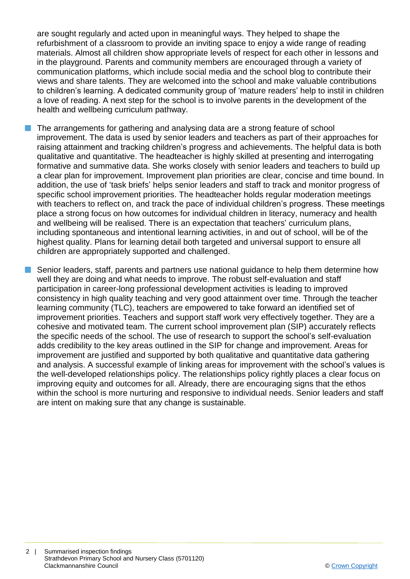are sought regularly and acted upon in meaningful ways. They helped to shape the refurbishment of a classroom to provide an inviting space to enjoy a wide range of reading materials. Almost all children show appropriate levels of respect for each other in lessons and in the playground. Parents and community members are encouraged through a variety of communication platforms, which include social media and the school blog to contribute their views and share talents. They are welcomed into the school and make valuable contributions to children's learning. A dedicated community group of 'mature readers' help to instil in children a love of reading. A next step for the school is to involve parents in the development of the health and wellbeing curriculum pathway.

The arrangements for gathering and analysing data are a strong feature of school improvement. The data is used by senior leaders and teachers as part of their approaches for raising attainment and tracking children's progress and achievements. The helpful data is both qualitative and quantitative. The headteacher is highly skilled at presenting and interrogating formative and summative data. She works closely with senior leaders and teachers to build up a clear plan for improvement. Improvement plan priorities are clear, concise and time bound. In addition, the use of 'task briefs' helps senior leaders and staff to track and monitor progress of specific school improvement priorities. The headteacher holds regular moderation meetings with teachers to reflect on, and track the pace of individual children's progress. These meetings place a strong focus on how outcomes for individual children in literacy, numeracy and health and wellbeing will be realised. There is an expectation that teachers' curriculum plans, including spontaneous and intentional learning activities, in and out of school, will be of the highest quality. Plans for learning detail both targeted and universal support to ensure all children are appropriately supported and challenged.

Senior leaders, staff, parents and partners use national guidance to help them determine how well they are doing and what needs to improve. The robust self-evaluation and staff participation in career-long professional development activities is leading to improved consistency in high quality teaching and very good attainment over time. Through the teacher learning community (TLC), teachers are empowered to take forward an identified set of improvement priorities. Teachers and support staff work very effectively together. They are a cohesive and motivated team. The current school improvement plan (SIP) accurately reflects the specific needs of the school. The use of research to support the school's self-evaluation adds credibility to the key areas outlined in the SIP for change and improvement. Areas for improvement are justified and supported by both qualitative and quantitative data gathering and analysis. A successful example of linking areas for improvement with the school's values is the well-developed relationships policy. The relationships policy rightly places a clear focus on improving equity and outcomes for all. Already, there are encouraging signs that the ethos within the school is more nurturing and responsive to individual needs. Senior leaders and staff are intent on making sure that any change is sustainable.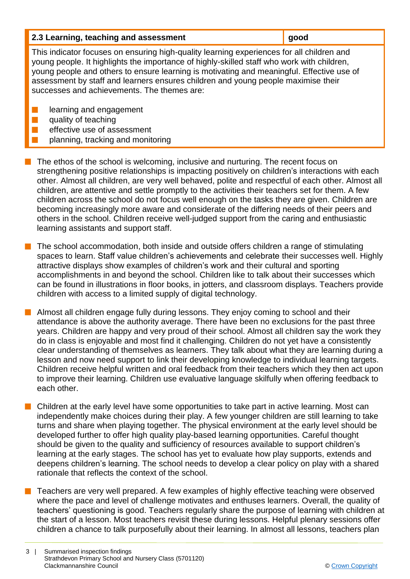| 2.3 Learning, teaching and assessment | good |
|---------------------------------------|------|
|                                       |      |

This indicator focuses on ensuring high-quality learning experiences for all children and young people. It highlights the importance of highly-skilled staff who work with children, young people and others to ensure learning is motivating and meaningful. Effective use of assessment by staff and learners ensures children and young people maximise their successes and achievements. The themes are:

**n** learning and engagement

 $\blacksquare$  quality of teaching

- effective use of assessment
- planning, tracking and monitoring

 $\blacksquare$  The ethos of the school is welcoming, inclusive and nurturing. The recent focus on strengthening positive relationships is impacting positively on children's interactions with each other. Almost all children, are very well behaved, polite and respectful of each other. Almost all children, are attentive and settle promptly to the activities their teachers set for them. A few children across the school do not focus well enough on the tasks they are given. Children are becoming increasingly more aware and considerate of the differing needs of their peers and others in the school. Children receive well-judged support from the caring and enthusiastic learning assistants and support staff.

The school accommodation, both inside and outside offers children a range of stimulating spaces to learn. Staff value children's achievements and celebrate their successes well. Highly attractive displays show examples of children's work and their cultural and sporting accomplishments in and beyond the school. Children like to talk about their successes which can be found in illustrations in floor books, in jotters, and classroom displays. Teachers provide children with access to a limited supply of digital technology.

**n** Almost all children engage fully during lessons. They enjoy coming to school and their attendance is above the authority average. There have been no exclusions for the past three years. Children are happy and very proud of their school. Almost all children say the work they do in class is enjoyable and most find it challenging. Children do not yet have a consistently clear understanding of themselves as learners. They talk about what they are learning during a lesson and now need support to link their developing knowledge to individual learning targets. Children receive helpful written and oral feedback from their teachers which they then act upon to improve their learning. Children use evaluative language skilfully when offering feedback to each other.

 $\blacksquare$  Children at the early level have some opportunities to take part in active learning. Most can independently make choices during their play. A few younger children are still learning to take turns and share when playing together. The physical environment at the early level should be developed further to offer high quality play-based learning opportunities. Careful thought should be given to the quality and sufficiency of resources available to support children's learning at the early stages. The school has yet to evaluate how play supports, extends and deepens children's learning. The school needs to develop a clear policy on play with a shared rationale that reflects the context of the school.

 $\blacksquare$  Teachers are very well prepared. A few examples of highly effective teaching were observed where the pace and level of challenge motivates and enthuses learners. Overall, the quality of teachers' questioning is good. Teachers regularly share the purpose of learning with children at the start of a lesson. Most teachers revisit these during lessons. Helpful plenary sessions offer children a chance to talk purposefully about their learning. In almost all lessons, teachers plan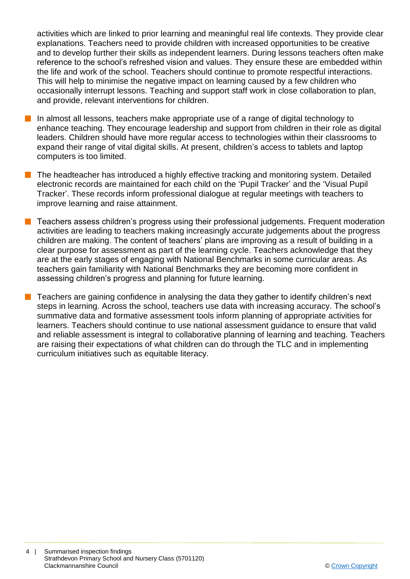activities which are linked to prior learning and meaningful real life contexts. They provide clear explanations. Teachers need to provide children with increased opportunities to be creative and to develop further their skills as independent learners. During lessons teachers often make reference to the school's refreshed vision and values. They ensure these are embedded within the life and work of the school. Teachers should continue to promote respectful interactions. This will help to minimise the negative impact on learning caused by a few children who occasionally interrupt lessons. Teaching and support staff work in close collaboration to plan, and provide, relevant interventions for children.

- $\blacksquare$  In almost all lessons, teachers make appropriate use of a range of digital technology to enhance teaching. They encourage leadership and support from children in their role as digital leaders. Children should have more regular access to technologies within their classrooms to expand their range of vital digital skills. At present, children's access to tablets and laptop computers is too limited.
- $\blacksquare$  The headteacher has introduced a highly effective tracking and monitoring system. Detailed electronic records are maintained for each child on the 'Pupil Tracker' and the 'Visual Pupil Tracker'. These records inform professional dialogue at regular meetings with teachers to improve learning and raise attainment.
- **n** Teachers assess children's progress using their professional judgements. Frequent moderation activities are leading to teachers making increasingly accurate judgements about the progress children are making. The content of teachers' plans are improving as a result of building in a clear purpose for assessment as part of the learning cycle. Teachers acknowledge that they are at the early stages of engaging with National Benchmarks in some curricular areas. As teachers gain familiarity with National Benchmarks they are becoming more confident in assessing children's progress and planning for future learning.
- $\blacksquare$  Teachers are gaining confidence in analysing the data they gather to identify children's next steps in learning. Across the school, teachers use data with increasing accuracy. The school's summative data and formative assessment tools inform planning of appropriate activities for learners. Teachers should continue to use national assessment guidance to ensure that valid and reliable assessment is integral to collaborative planning of learning and teaching. Teachers are raising their expectations of what children can do through the TLC and in implementing curriculum initiatives such as equitable literacy.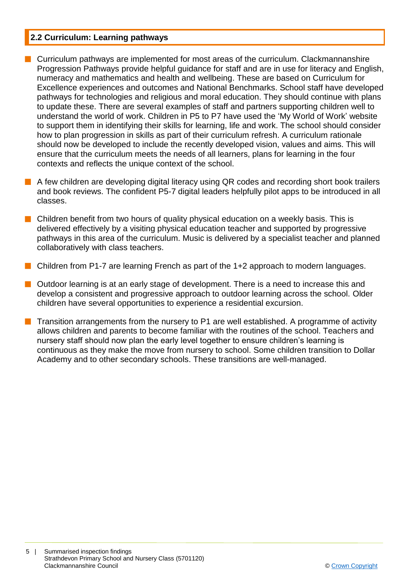#### **2.2 Curriculum: Learning pathways**

- $\blacksquare$  Curriculum pathways are implemented for most areas of the curriculum. Clackmannanshire Progression Pathways provide helpful guidance for staff and are in use for literacy and English, numeracy and mathematics and health and wellbeing. These are based on Curriculum for Excellence experiences and outcomes and National Benchmarks. School staff have developed pathways for technologies and religious and moral education. They should continue with plans to update these. There are several examples of staff and partners supporting children well to understand the world of work. Children in P5 to P7 have used the 'My World of Work' website to support them in identifying their skills for learning, life and work. The school should consider how to plan progression in skills as part of their curriculum refresh. A curriculum rationale should now be developed to include the recently developed vision, values and aims. This will ensure that the curriculum meets the needs of all learners, plans for learning in the four contexts and reflects the unique context of the school.
- A few children are developing digital literacy using QR codes and recording short book trailers and book reviews. The confident P5-7 digital leaders helpfully pilot apps to be introduced in all classes.
- n Children benefit from two hours of quality physical education on a weekly basis. This is delivered effectively by a visiting physical education teacher and supported by progressive pathways in this area of the curriculum. Music is delivered by a specialist teacher and planned collaboratively with class teachers.
- **n** Children from P1-7 are learning French as part of the 1+2 approach to modern languages.
- $\blacksquare$  Outdoor learning is at an early stage of development. There is a need to increase this and develop a consistent and progressive approach to outdoor learning across the school. Older children have several opportunities to experience a residential excursion.
- **n** Transition arrangements from the nursery to P1 are well established. A programme of activity allows children and parents to become familiar with the routines of the school. Teachers and nursery staff should now plan the early level together to ensure children's learning is continuous as they make the move from nursery to school. Some children transition to Dollar Academy and to other secondary schools. These transitions are well-managed.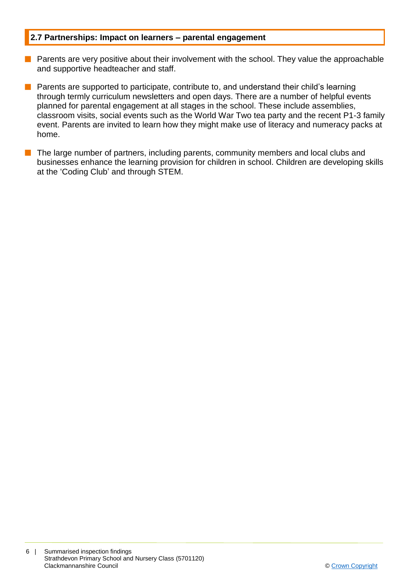#### **2.7 Partnerships: Impact on learners – parental engagement**

- $\blacksquare$  Parents are very positive about their involvement with the school. They value the approachable and supportive headteacher and staff.
- **n** Parents are supported to participate, contribute to, and understand their child's learning through termly curriculum newsletters and open days. There are a number of helpful events planned for parental engagement at all stages in the school. These include assemblies, classroom visits, social events such as the World War Two tea party and the recent P1-3 family event. Parents are invited to learn how they might make use of literacy and numeracy packs at home.
- $\blacksquare$  The large number of partners, including parents, community members and local clubs and businesses enhance the learning provision for children in school. Children are developing skills at the 'Coding Club' and through STEM.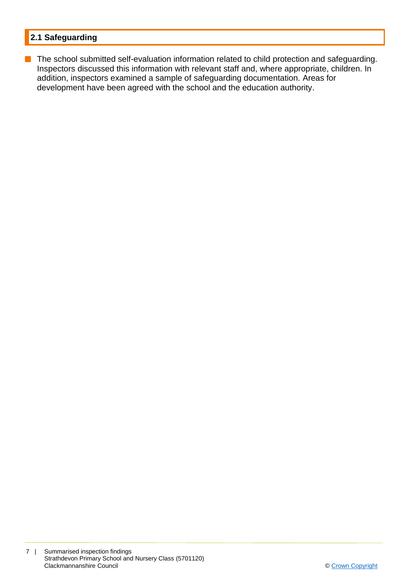### **2.1 Safeguarding**

**n** The school submitted self-evaluation information related to child protection and safeguarding. Inspectors discussed this information with relevant staff and, where appropriate, children. In addition, inspectors examined a sample of safeguarding documentation. Areas for development have been agreed with the school and the education authority.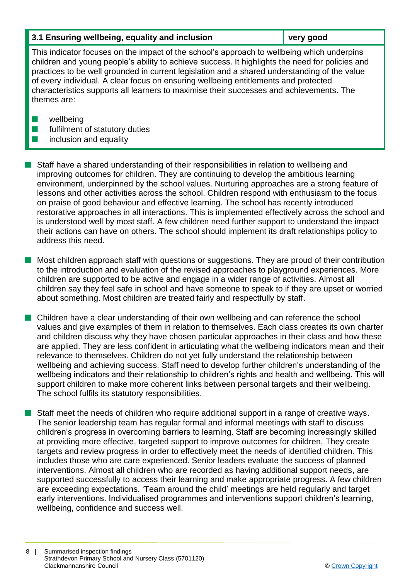#### **3.1 Ensuring wellbeing, equality and inclusion very good**

This indicator focuses on the impact of the school's approach to wellbeing which underpins children and young people's ability to achieve success. It highlights the need for policies and practices to be well grounded in current legislation and a shared understanding of the value of every individual. A clear focus on ensuring wellbeing entitlements and protected characteristics supports all learners to maximise their successes and achievements. The themes are:

- $\blacksquare$  wellbeing
- $\blacksquare$  fulfilment of statutory duties
- $\blacksquare$  inclusion and equality

**n** Staff have a shared understanding of their responsibilities in relation to wellbeing and improving outcomes for children. They are continuing to develop the ambitious learning environment, underpinned by the school values. Nurturing approaches are a strong feature of lessons and other activities across the school. Children respond with enthusiasm to the focus on praise of good behaviour and effective learning. The school has recently introduced restorative approaches in all interactions. This is implemented effectively across the school and is understood well by most staff. A few children need further support to understand the impact their actions can have on others. The school should implement its draft relationships policy to address this need.

 $\blacksquare$  Most children approach staff with questions or suggestions. They are proud of their contribution to the introduction and evaluation of the revised approaches to playground experiences. More children are supported to be active and engage in a wider range of activities. Almost all children say they feel safe in school and have someone to speak to if they are upset or worried about something. Most children are treated fairly and respectfully by staff.

n Children have a clear understanding of their own wellbeing and can reference the school values and give examples of them in relation to themselves. Each class creates its own charter and children discuss why they have chosen particular approaches in their class and how these are applied. They are less confident in articulating what the wellbeing indicators mean and their relevance to themselves. Children do not yet fully understand the relationship between wellbeing and achieving success. Staff need to develop further children's understanding of the wellbeing indicators and their relationship to children's rights and health and wellbeing. This will support children to make more coherent links between personal targets and their wellbeing. The school fulfils its statutory responsibilities.

**n** Staff meet the needs of children who require additional support in a range of creative ways. The senior leadership team has regular formal and informal meetings with staff to discuss children's progress in overcoming barriers to learning. Staff are becoming increasingly skilled at providing more effective, targeted support to improve outcomes for children. They create targets and review progress in order to effectively meet the needs of identified children. This includes those who are care experienced. Senior leaders evaluate the success of planned interventions. Almost all children who are recorded as having additional support needs, are supported successfully to access their learning and make appropriate progress. A few children are exceeding expectations. 'Team around the child' meetings are held regularly and target early interventions. Individualised programmes and interventions support children's learning, wellbeing, confidence and success well.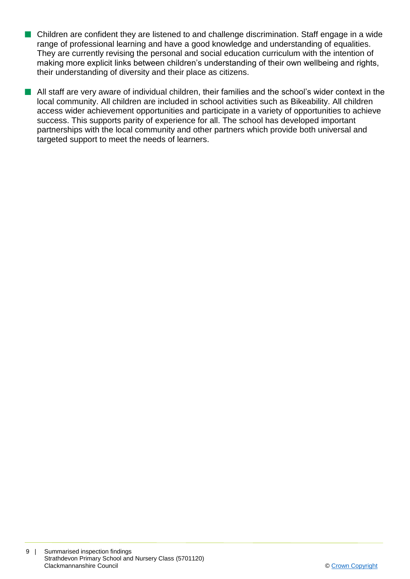- n Children are confident they are listened to and challenge discrimination. Staff engage in a wide range of professional learning and have a good knowledge and understanding of equalities. They are currently revising the personal and social education curriculum with the intention of making more explicit links between children's understanding of their own wellbeing and rights, their understanding of diversity and their place as citizens.
- $\blacksquare$  All staff are very aware of individual children, their families and the school's wider context in the local community. All children are included in school activities such as Bikeability. All children access wider achievement opportunities and participate in a variety of opportunities to achieve success. This supports parity of experience for all. The school has developed important partnerships with the local community and other partners which provide both universal and targeted support to meet the needs of learners.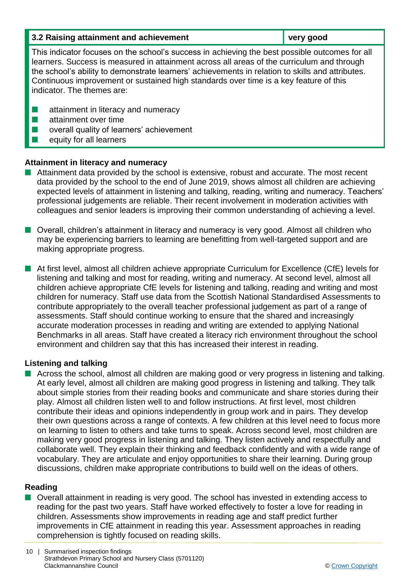| 3.2 Raising attainment and achievement                                                                                                                                                                                                                                                                                                                                                                                  | very good |  |
|-------------------------------------------------------------------------------------------------------------------------------------------------------------------------------------------------------------------------------------------------------------------------------------------------------------------------------------------------------------------------------------------------------------------------|-----------|--|
| This indicator focuses on the school's success in achieving the best possible outcomes for all<br>learners. Success is measured in attainment across all areas of the curriculum and through<br>the school's ability to demonstrate learners' achievements in relation to skills and attributes.<br>Continuous improvement or sustained high standards over time is a key feature of this<br>indicator. The themes are: |           |  |
| attainment in literacy and numeracy<br>attainment over time<br>overall quality of learners' achievement<br>equity for all learners                                                                                                                                                                                                                                                                                      |           |  |

#### **Attainment in literacy and numeracy**

- $\blacksquare$  Attainment data provided by the school is extensive, robust and accurate. The most recent data provided by the school to the end of June 2019, shows almost all children are achieving expected levels of attainment in listening and talking, reading, writing and numeracy. Teachers' professional judgements are reliable. Their recent involvement in moderation activities with colleagues and senior leaders is improving their common understanding of achieving a level.
- $\blacksquare$  Overall, children's attainment in literacy and numeracy is very good. Almost all children who may be experiencing barriers to learning are benefitting from well-targeted support and are making appropriate progress.
- At first level, almost all children achieve appropriate Curriculum for Excellence (CfE) levels for listening and talking and most for reading, writing and numeracy. At second level, almost all children achieve appropriate CfE levels for listening and talking, reading and writing and most children for numeracy. Staff use data from the Scottish National Standardised Assessments to contribute appropriately to the overall teacher professional judgement as part of a range of assessments. Staff should continue working to ensure that the shared and increasingly accurate moderation processes in reading and writing are extended to applying National Benchmarks in all areas. Staff have created a literacy rich environment throughout the school environment and children say that this has increased their interest in reading.

#### **Listening and talking**

■ Across the school, almost all children are making good or very progress in listening and talking. At early level, almost all children are making good progress in listening and talking. They talk about simple stories from their reading books and communicate and share stories during their play. Almost all children listen well to and follow instructions. At first level, most children contribute their ideas and opinions independently in group work and in pairs. They develop their own questions across a range of contexts. A few children at this level need to focus more on learning to listen to others and take turns to speak. Across second level, most children are making very good progress in listening and talking. They listen actively and respectfully and collaborate well. They explain their thinking and feedback confidently and with a wide range of vocabulary. They are articulate and enjoy opportunities to share their learning. During group discussions, children make appropriate contributions to build well on the ideas of others.

#### **Reading**

■ Overall attainment in reading is very good. The school has invested in extending access to reading for the past two years. Staff have worked effectively to foster a love for reading in children. Assessments show improvements in reading age and staff predict further improvements in CfE attainment in reading this year. Assessment approaches in reading comprehension is tightly focused on reading skills.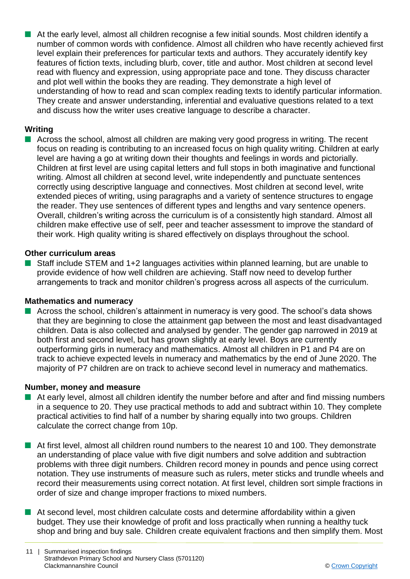$\blacksquare$  At the early level, almost all children recognise a few initial sounds. Most children identify a number of common words with confidence. Almost all children who have recently achieved first level explain their preferences for particular texts and authors. They accurately identify key features of fiction texts, including blurb, cover, title and author. Most children at second level read with fluency and expression, using appropriate pace and tone. They discuss character and plot well within the books they are reading. They demonstrate a high level of understanding of how to read and scan complex reading texts to identify particular information. They create and answer understanding, inferential and evaluative questions related to a text and discuss how the writer uses creative language to describe a character.

#### **Writing**

 $\blacksquare$  Across the school, almost all children are making very good progress in writing. The recent focus on reading is contributing to an increased focus on high quality writing. Children at early level are having a go at writing down their thoughts and feelings in words and pictorially. Children at first level are using capital letters and full stops in both imaginative and functional writing. Almost all children at second level, write independently and punctuate sentences correctly using descriptive language and connectives. Most children at second level, write extended pieces of writing, using paragraphs and a variety of sentence structures to engage the reader. They use sentences of different types and lengths and vary sentence openers. Overall, children's writing across the curriculum is of a consistently high standard. Almost all children make effective use of self, peer and teacher assessment to improve the standard of their work. High quality writing is shared effectively on displays throughout the school.

#### **Other curriculum areas**

Staff include STEM and 1+2 languages activities within planned learning, but are unable to provide evidence of how well children are achieving. Staff now need to develop further arrangements to track and monitor children's progress across all aspects of the curriculum.

#### **Mathematics and numeracy**

 $\blacksquare$  Across the school, children's attainment in numeracy is very good. The school's data shows that they are beginning to close the attainment gap between the most and least disadvantaged children. Data is also collected and analysed by gender. The gender gap narrowed in 2019 at both first and second level, but has grown slightly at early level. Boys are currently outperforming girls in numeracy and mathematics. Almost all children in P1 and P4 are on track to achieve expected levels in numeracy and mathematics by the end of June 2020. The majority of P7 children are on track to achieve second level in numeracy and mathematics.

#### **Number, money and measure**

- $\blacksquare$  At early level, almost all children identify the number before and after and find missing numbers in a sequence to 20. They use practical methods to add and subtract within 10. They complete practical activities to find half of a number by sharing equally into two groups. Children calculate the correct change from 10p.
- **n** At first level, almost all children round numbers to the nearest 10 and 100. They demonstrate an understanding of place value with five digit numbers and solve addition and subtraction problems with three digit numbers. Children record money in pounds and pence using correct notation. They use instruments of measure such as rulers, meter sticks and trundle wheels and record their measurements using correct notation. At first level, children sort simple fractions in order of size and change improper fractions to mixed numbers.
- $\blacksquare$  At second level, most children calculate costs and determine affordability within a given budget. They use their knowledge of profit and loss practically when running a healthy tuck shop and bring and buy sale. Children create equivalent fractions and then simplify them. Most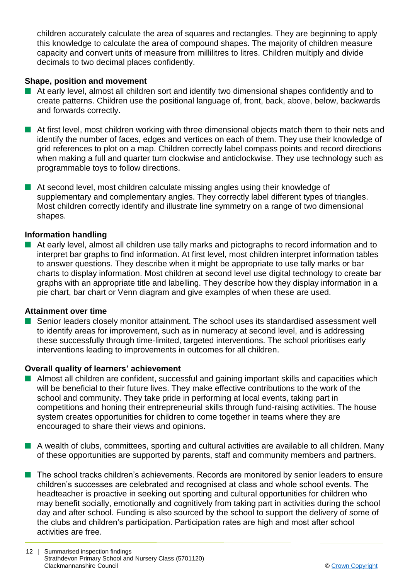children accurately calculate the area of squares and rectangles. They are beginning to apply this knowledge to calculate the area of compound shapes. The majority of children measure capacity and convert units of measure from millilitres to litres. Children multiply and divide decimals to two decimal places confidently.

#### **Shape, position and movement**

- $\blacksquare$  At early level, almost all children sort and identify two dimensional shapes confidently and to create patterns. Children use the positional language of, front, back, above, below, backwards and forwards correctly.
- $\blacksquare$  At first level, most children working with three dimensional objects match them to their nets and identify the number of faces, edges and vertices on each of them. They use their knowledge of grid references to plot on a map. Children correctly label compass points and record directions when making a full and quarter turn clockwise and anticlockwise. They use technology such as programmable toys to follow directions.
- $\blacksquare$  At second level, most children calculate missing angles using their knowledge of supplementary and complementary angles. They correctly label different types of triangles. Most children correctly identify and illustrate line symmetry on a range of two dimensional shapes.

#### **Information handling**

**n** At early level, almost all children use tally marks and pictographs to record information and to interpret bar graphs to find information. At first level, most children interpret information tables to answer questions. They describe when it might be appropriate to use tally marks or bar charts to display information. Most children at second level use digital technology to create bar graphs with an appropriate title and labelling. They describe how they display information in a pie chart, bar chart or Venn diagram and give examples of when these are used.

#### **Attainment over time**

■ Senior leaders closely monitor attainment. The school uses its standardised assessment well to identify areas for improvement, such as in numeracy at second level, and is addressing these successfully through time-limited, targeted interventions. The school prioritises early interventions leading to improvements in outcomes for all children.

#### **Overall quality of learners' achievement**

- $\blacksquare$  Almost all children are confident, successful and gaining important skills and capacities which will be beneficial to their future lives. They make effective contributions to the work of the school and community. They take pride in performing at local events, taking part in competitions and honing their entrepreneurial skills through fund-raising activities. The house system creates opportunities for children to come together in teams where they are encouraged to share their views and opinions.
- A wealth of clubs, committees, sporting and cultural activities are available to all children. Many of these opportunities are supported by parents, staff and community members and partners.
- **n** The school tracks children's achievements. Records are monitored by senior leaders to ensure children's successes are celebrated and recognised at class and whole school events. The headteacher is proactive in seeking out sporting and cultural opportunities for children who may benefit socially, emotionally and cognitively from taking part in activities during the school day and after school. Funding is also sourced by the school to support the delivery of some of the clubs and children's participation. Participation rates are high and most after school activities are free.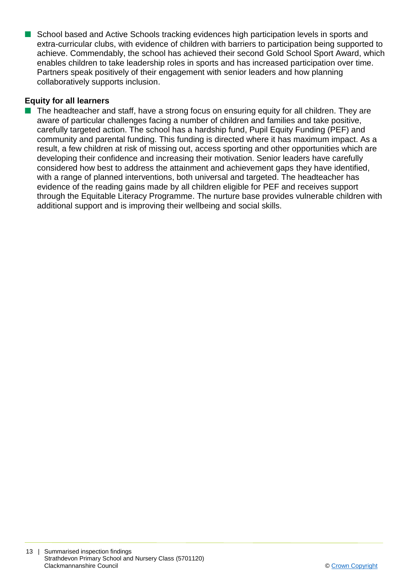■ School based and Active Schools tracking evidences high participation levels in sports and extra-curricular clubs, with evidence of children with barriers to participation being supported to achieve. Commendably, the school has achieved their second Gold School Sport Award, which enables children to take leadership roles in sports and has increased participation over time. Partners speak positively of their engagement with senior leaders and how planning collaboratively supports inclusion.

#### **Equity for all learners**

 $\blacksquare$  The headteacher and staff, have a strong focus on ensuring equity for all children. They are aware of particular challenges facing a number of children and families and take positive, carefully targeted action. The school has a hardship fund, Pupil Equity Funding (PEF) and community and parental funding. This funding is directed where it has maximum impact. As a result, a few children at risk of missing out, access sporting and other opportunities which are developing their confidence and increasing their motivation. Senior leaders have carefully considered how best to address the attainment and achievement gaps they have identified, with a range of planned interventions, both universal and targeted. The headteacher has evidence of the reading gains made by all children eligible for PEF and receives support through the Equitable Literacy Programme. The nurture base provides vulnerable children with additional support and is improving their wellbeing and social skills.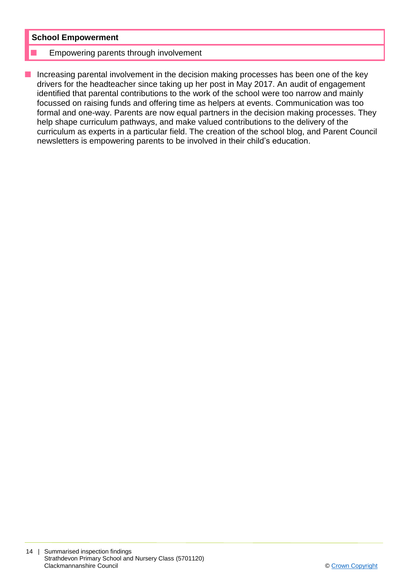#### **School Empowerment**

#### Empowering parents through involvement

 $\blacksquare$  Increasing parental involvement in the decision making processes has been one of the key drivers for the headteacher since taking up her post in May 2017. An audit of engagement identified that parental contributions to the work of the school were too narrow and mainly focussed on raising funds and offering time as helpers at events. Communication was too formal and one-way. Parents are now equal partners in the decision making processes. They help shape curriculum pathways, and make valued contributions to the delivery of the curriculum as experts in a particular field. The creation of the school blog, and Parent Council newsletters is empowering parents to be involved in their child's education.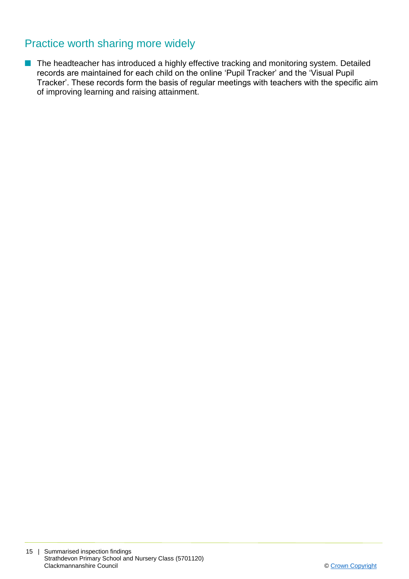## Practice worth sharing more widely

**n** The headteacher has introduced a highly effective tracking and monitoring system. Detailed records are maintained for each child on the online 'Pupil Tracker' and the 'Visual Pupil Tracker'. These records form the basis of regular meetings with teachers with the specific aim of improving learning and raising attainment.